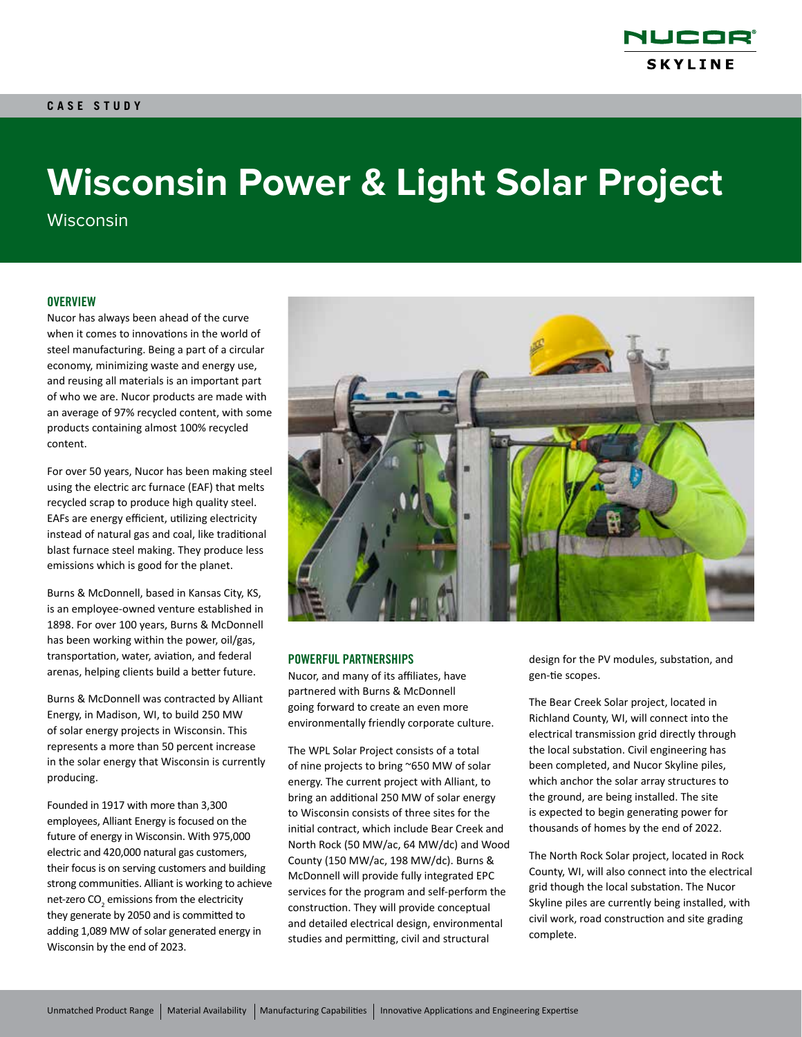

# **Wisconsin Power & Light Solar Project**

**Wisconsin** 

## **OVERVIEW**

Nucor has always been ahead of the curve when it comes to innovations in the world of steel manufacturing. Being a part of a circular economy, minimizing waste and energy use, and reusing all materials is an important part of who we are. Nucor products are made with an average of 97% recycled content, with some products containing almost 100% recycled content.

For over 50 years, Nucor has been making steel using the electric arc furnace (EAF) that melts recycled scrap to produce high quality steel. EAFs are energy efficient, utilizing electricity instead of natural gas and coal, like traditional blast furnace steel making. They produce less emissions which is good for the planet.

Burns & McDonnell, based in Kansas City, KS, is an employee-owned venture established in 1898. For over 100 years, Burns & McDonnell has been working within the power, oil/gas, transportation, water, aviation, and federal arenas, helping clients build a better future.

Burns & McDonnell was contracted by Alliant Energy, in Madison, WI, to build 250 MW of solar energy projects in Wisconsin. This represents a more than 50 percent increase in the solar energy that Wisconsin is currently producing.

Founded in 1917 with more than 3,300 employees, Alliant Energy is focused on the future of energy in Wisconsin. With 975,000 electric and 420,000 natural gas customers, their focus is on serving customers and building strong communities. Alliant is working to achieve net-zero CO $_{\textrm{\tiny{2}}}$  emissions from the electricity they generate by 2050 and is committed to adding 1,089 MW of solar generated energy in Wisconsin by the end of 2023.



#### POWERFUL PARTNERSHIPS

Nucor, and many of its affiliates, have partnered with Burns & McDonnell going forward to create an even more environmentally friendly corporate culture.

The WPL Solar Project consists of a total of nine projects to bring ~650 MW of solar energy. The current project with Alliant, to bring an additional 250 MW of solar energy to Wisconsin consists of three sites for the initial contract, which include Bear Creek and North Rock (50 MW/ac, 64 MW/dc) and Wood County (150 MW/ac, 198 MW/dc). Burns & McDonnell will provide fully integrated EPC services for the program and self-perform the construction. They will provide conceptual and detailed electrical design, environmental studies and permitting, civil and structural

design for the PV modules, substation, and gen-tie scopes.

The Bear Creek Solar project, located in Richland County, WI, will connect into the electrical transmission grid directly through the local substation. Civil engineering has been completed, and Nucor Skyline piles, which anchor the solar array structures to the ground, are being installed. The site is expected to begin generating power for thousands of homes by the end of 2022.

The North Rock Solar project, located in Rock County, WI, will also connect into the electrical grid though the local substation. The Nucor Skyline piles are currently being installed, with civil work, road construction and site grading complete.